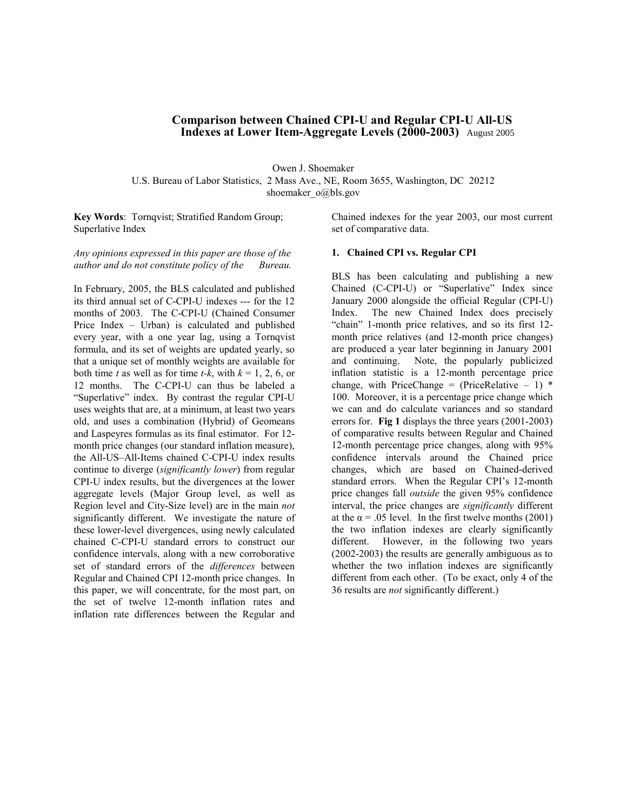### **Comparison between Chained CPI-U and Regular CPI-U All-US Indexes at Lower Item-Aggregate Levels (2000-2003)** August 2005

Owen J. Shoemaker U.S. Bureau of Labor Statistics, 2 Mass Ave., NE, Room 3655, Washington, DC 20212 shoemaker\_o@bls.gov

**Key Words**: Tornqvist; Stratified Random Group; Superlative Index

Chained indexes for the year 2003, our most current set of comparative data.

### *Any opinions expressed in this paper are those of the author and do not constitute policy of the Bureau.*

In February, 2005, the BLS calculated and published its third annual set of C-CPI-U indexes --- for the 12 months of 2003. The C-CPI-U (Chained Consumer Price Index – Urban) is calculated and published every year, with a one year lag, using a Tornqvist formula, and its set of weights are updated yearly, so that a unique set of monthly weights are available for both time *t* as well as for time *t*-*k*, with  $k = 1, 2, 6$ , or 12 months. The C-CPI-U can thus be labeled a "Superlative" index. By contrast the regular CPI-U uses weights that are, at a minimum, at least two years old, and uses a combination (Hybrid) of Geomeans and Laspeyres formulas as its final estimator. For 12 month price changes (our standard inflation measure), the All-US–All-Items chained C-CPI-U index results continue to diverge (*significantly lower*) from regular CPI-U index results, but the divergences at the lower aggregate levels (Major Group level, as well as Region level and City-Size level) are in the main *not* significantly different. We investigate the nature of these lower-level divergences, using newly calculated chained C-CPI-U standard errors to construct our confidence intervals, along with a new corroborative set of standard errors of the *differences* between Regular and Chained CPI 12-month price changes. In this paper, we will concentrate, for the most part, on the set of twelve 12-month inflation rates and inflation rate differences between the Regular and

# **1. Chained CPI vs. Regular CPI**

BLS has been calculating and publishing a new Chained (C-CPI-U) or "Superlative" Index since January 2000 alongside the official Regular (CPI-U) Index. The new Chained Index does precisely "chain" 1-month price relatives, and so its first 12 month price relatives (and 12-month price changes) are produced a year later beginning in January 2001 and continuing. Note, the popularly publicized inflation statistic is a 12-month percentage price change, with PriceChange = (PriceRelative  $-1$ ) \* 100. Moreover, it is a percentage price change which we can and do calculate variances and so standard errors for. **Fig 1** displays the three years (2001-2003) of comparative results between Regular and Chained 12-month percentage price changes, along with 95% confidence intervals around the Chained price changes, which are based on Chained-derived standard errors. When the Regular CPI's 12-month price changes fall *outside* the given 95% confidence interval, the price changes are *significantly* different at the  $\alpha$  = .05 level. In the first twelve months (2001) the two inflation indexes are clearly significantly different. However, in the following two years (2002-2003) the results are generally ambiguous as to whether the two inflation indexes are significantly different from each other. (To be exact, only 4 of the 36 results are *not* significantly different.)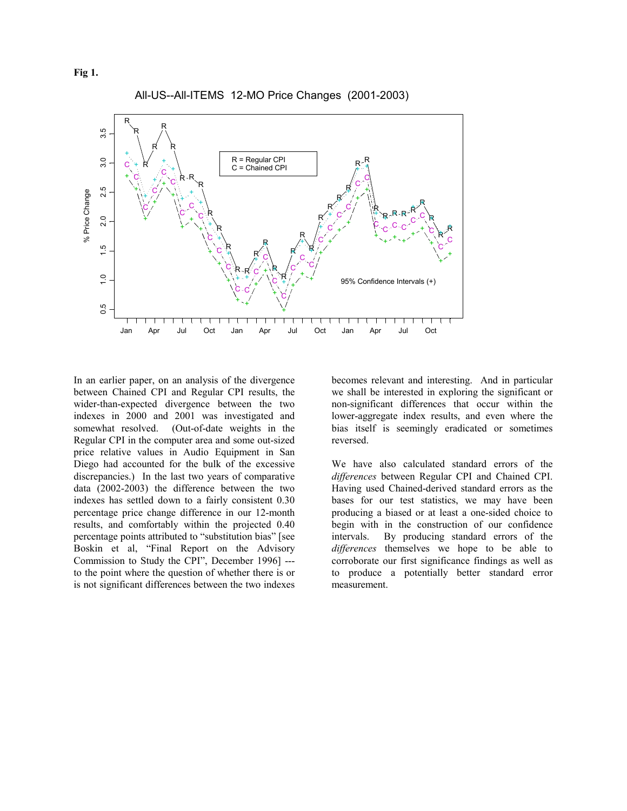

In an earlier paper, on an analysis of the divergence between Chained CPI and Regular CPI results, the wider-than-expected divergence between the two indexes in 2000 and 2001 was investigated and somewhat resolved. (Out-of-date weights in the Regular CPI in the computer area and some out-sized price relative values in Audio Equipment in San Diego had accounted for the bulk of the excessive discrepancies.) In the last two years of comparative data (2002-2003) the difference between the two indexes has settled down to a fairly consistent 0.30 percentage price change difference in our 12-month results, and comfortably within the projected 0.40 percentage points attributed to "substitution bias" [see Boskin et al, "Final Report on the Advisory Commission to Study the CPI", December 1996] -- to the point where the question of whether there is or is not significant differences between the two indexes

becomes relevant and interesting. And in particular we shall be interested in exploring the significant or non-significant differences that occur within the lower-aggregate index results, and even where the bias itself is seemingly eradicated or sometimes reversed.

We have also calculated standard errors of the *differences* between Regular CPI and Chained CPI. Having used Chained-derived standard errors as the bases for our test statistics, we may have been producing a biased or at least a one-sided choice to begin with in the construction of our confidence intervals. By producing standard errors of the *differences* themselves we hope to be able to corroborate our first significance findings as well as to produce a potentially better standard error measurement.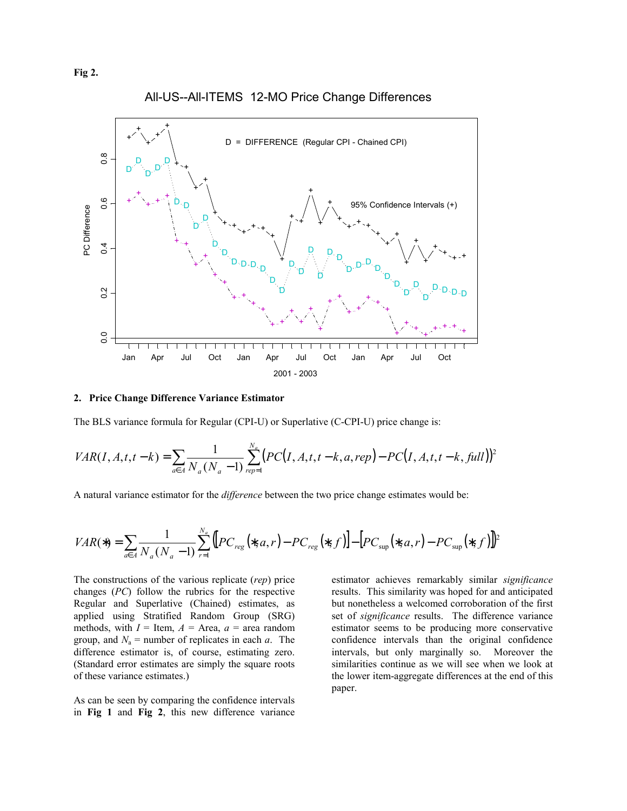All-US--All-ITEMS 12-MO Price Change Differences



#### **2. Price Change Difference Variance Estimator**

The BLS variance formula for Regular (CPI-U) or Superlative (C-CPI-U) price change is:

$$
VAR(I, A, t, t - k) = \sum_{a \in A} \frac{1}{N_a (N_a - 1)} \sum_{rep=1}^{N_a} \left( PC(I, A, t, t - k, a, rep) - PC(I, A, t, t - k, full) \right)^2
$$

A natural variance estimator for the *difference* between the two price change estimates would be:

$$
VAR(*) = \sum_{a \in A} \frac{1}{N_a (N_a - 1)} \sum_{r=1}^{N_a} ([PC_{reg}(*, a, r) - PC_{reg}(*, f)] - [PC_{sup}(*, a, r) - PC_{sup}(*, f)])^2
$$

The constructions of the various replicate (*rep*) price changes (*PC*) follow the rubrics for the respective Regular and Superlative (Chained) estimates, as applied using Stratified Random Group (SRG) methods, with  $I =$  Item,  $A =$  Area,  $a =$  area random group, and  $N_a$  = number of replicates in each *a*. The difference estimator is, of course, estimating zero. (Standard error estimates are simply the square roots of these variance estimates.)

As can be seen by comparing the confidence intervals in **Fig 1** and **Fig 2**, this new difference variance

estimator achieves remarkably similar *significance* results. This similarity was hoped for and anticipated but nonetheless a welcomed corroboration of the first set of *significance* results. The difference variance estimator seems to be producing more conservative confidence intervals than the original confidence intervals, but only marginally so. Moreover the similarities continue as we will see when we look at the lower item-aggregate differences at the end of this paper.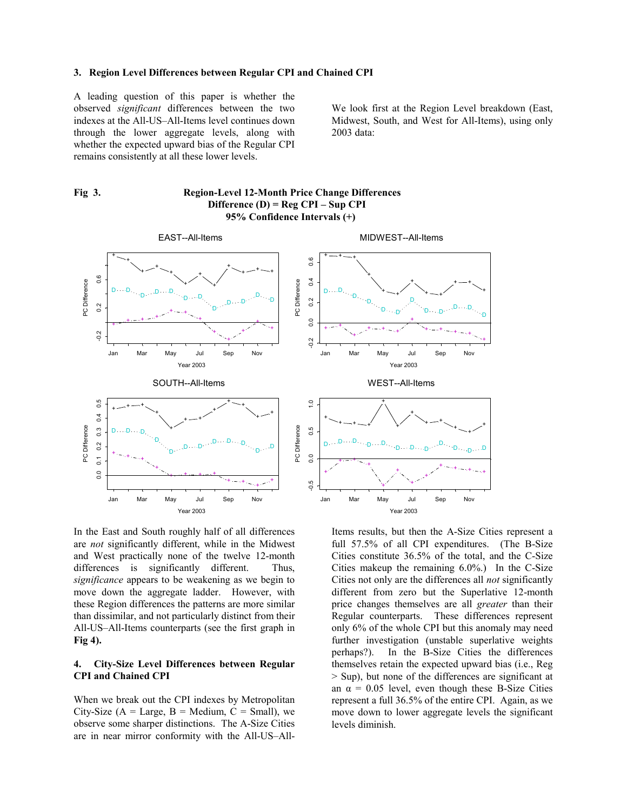#### **3. Region Level Differences between Regular CPI and Chained CPI**

A leading question of this paper is whether the observed *significant* differences between the two indexes at the All-US–All-Items level continues down through the lower aggregate levels, along with whether the expected upward bias of the Regular CPI remains consistently at all these lower levels.

We look first at the Region Level breakdown (East, Midwest, South, and West for All-Items), using only 2003 data:



**Fig 3. Region-Level 12-Month Price Change Differences Difference (D) = Reg CPI – Sup CPI** 

In the East and South roughly half of all differences are *not* significantly different, while in the Midwest and West practically none of the twelve 12-month differences is significantly different. Thus, *significance* appears to be weakening as we begin to move down the aggregate ladder. However, with these Region differences the patterns are more similar than dissimilar, and not particularly distinct from their All-US–All-Items counterparts (see the first graph in **Fig 4).** 

### **4. City-Size Level Differences between Regular CPI and Chained CPI**

When we break out the CPI indexes by Metropolitan City-Size ( $A = Large$ ,  $B = Medium$ ,  $C = Small$ ), we observe some sharper distinctions. The A-Size Cities are in near mirror conformity with the All-US–AllItems results, but then the A-Size Cities represent a full 57.5% of all CPI expenditures. (The B-Size Cities constitute 36.5% of the total, and the C-Size Cities makeup the remaining 6.0%.) In the C-Size Cities not only are the differences all *not* significantly different from zero but the Superlative 12-month price changes themselves are all *greater* than their Regular counterparts. These differences represent only 6% of the whole CPI but this anomaly may need further investigation (unstable superlative weights perhaps?). In the B-Size Cities the differences themselves retain the expected upward bias (i.e., Reg > Sup), but none of the differences are significant at an  $\alpha$  = 0.05 level, even though these B-Size Cities represent a full 36.5% of the entire CPI. Again, as we move down to lower aggregate levels the significant levels diminish.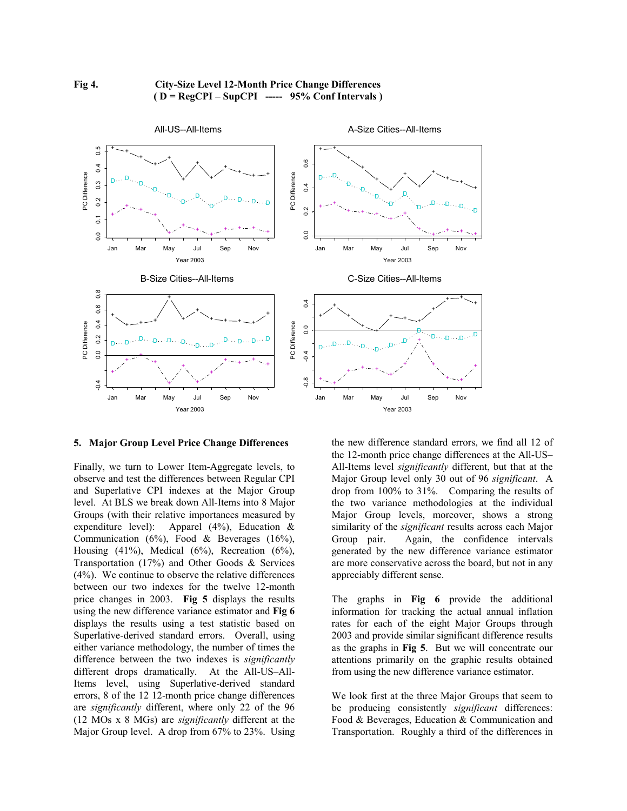

# **Fig 4. City-Size Level 12-Month Price Change Differences ( D = RegCPI – SupCPI ----- 95% Conf Intervals )**

#### **5. Major Group Level Price Change Differences**

Finally, we turn to Lower Item-Aggregate levels, to observe and test the differences between Regular CPI and Superlative CPI indexes at the Major Group level. At BLS we break down All-Items into 8 Major Groups (with their relative importances measured by expenditure level): Apparel (4%), Education & Communication (6%), Food & Beverages (16%), Housing (41%), Medical (6%), Recreation (6%), Transportation (17%) and Other Goods & Services (4%). We continue to observe the relative differences between our two indexes for the twelve 12-month price changes in 2003. **Fig 5** displays the results using the new difference variance estimator and **Fig 6** displays the results using a test statistic based on Superlative-derived standard errors. Overall, using either variance methodology, the number of times the difference between the two indexes is *significantly* different drops dramatically. At the All-US–All-Items level, using Superlative-derived standard errors, 8 of the 12 12-month price change differences are *significantly* different, where only 22 of the 96 (12 MOs x 8 MGs) are *significantly* different at the Major Group level. A drop from 67% to 23%. Using the new difference standard errors, we find all 12 of the 12-month price change differences at the All-US– All-Items level *significantly* different, but that at the Major Group level only 30 out of 96 *significant*. A drop from 100% to 31%. Comparing the results of the two variance methodologies at the individual Major Group levels, moreover, shows a strong similarity of the *significant* results across each Major Group pair. Again, the confidence intervals generated by the new difference variance estimator are more conservative across the board, but not in any appreciably different sense.

The graphs in **Fig 6** provide the additional information for tracking the actual annual inflation rates for each of the eight Major Groups through 2003 and provide similar significant difference results as the graphs in **Fig 5**. But we will concentrate our attentions primarily on the graphic results obtained from using the new difference variance estimator.

We look first at the three Major Groups that seem to be producing consistently *significant* differences: Food & Beverages, Education & Communication and Transportation. Roughly a third of the differences in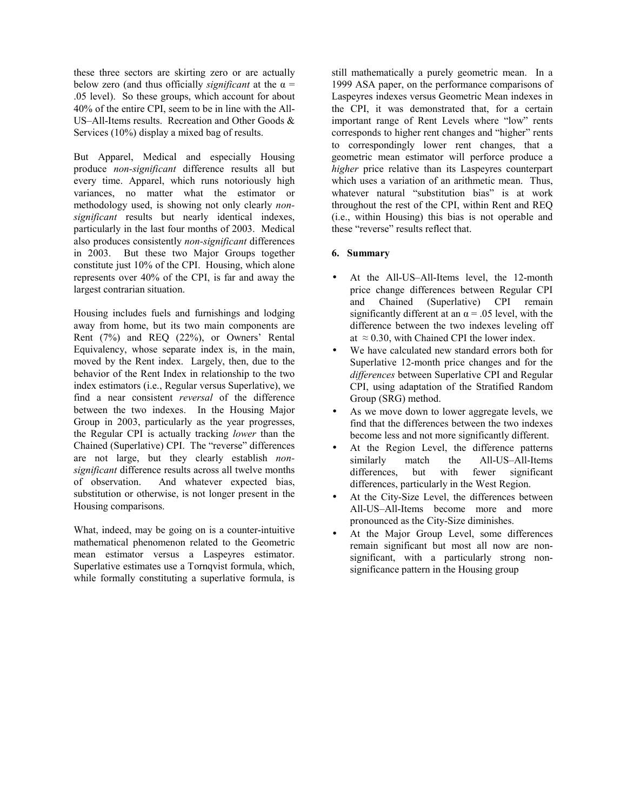these three sectors are skirting zero or are actually below zero (and thus officially *significant* at the  $\alpha$  = .05 level). So these groups, which account for about 40% of the entire CPI, seem to be in line with the All-US–All-Items results. Recreation and Other Goods & Services (10%) display a mixed bag of results.

But Apparel, Medical and especially Housing produce *non-significant* difference results all but every time. Apparel, which runs notoriously high variances, no matter what the estimator or methodology used, is showing not only clearly *nonsignificant* results but nearly identical indexes, particularly in the last four months of 2003. Medical also produces consistently *non-significant* differences in 2003. But these two Major Groups together constitute just 10% of the CPI. Housing, which alone represents over 40% of the CPI, is far and away the largest contrarian situation.

Housing includes fuels and furnishings and lodging away from home, but its two main components are Rent (7%) and REQ (22%), or Owners' Rental Equivalency, whose separate index is, in the main, moved by the Rent index. Largely, then, due to the behavior of the Rent Index in relationship to the two index estimators (i.e., Regular versus Superlative), we find a near consistent *reversal* of the difference between the two indexes. In the Housing Major Group in 2003, particularly as the year progresses, the Regular CPI is actually tracking *lower* than the Chained (Superlative) CPI. The "reverse" differences are not large, but they clearly establish *nonsignificant* difference results across all twelve months of observation. And whatever expected bias, substitution or otherwise, is not longer present in the Housing comparisons.

What, indeed, may be going on is a counter-intuitive mathematical phenomenon related to the Geometric mean estimator versus a Laspeyres estimator. Superlative estimates use a Tornqvist formula, which, while formally constituting a superlative formula, is

still mathematically a purely geometric mean. In a 1999 ASA paper, on the performance comparisons of Laspeyres indexes versus Geometric Mean indexes in the CPI, it was demonstrated that, for a certain important range of Rent Levels where "low" rents corresponds to higher rent changes and "higher" rents to correspondingly lower rent changes, that a geometric mean estimator will perforce produce a *higher* price relative than its Laspeyres counterpart which uses a variation of an arithmetic mean. Thus, whatever natural "substitution bias" is at work throughout the rest of the CPI, within Rent and REQ (i.e., within Housing) this bias is not operable and these "reverse" results reflect that.

## **6. Summary**

- At the All-US-All-Items level, the 12-month price change differences between Regular CPI and Chained (Superlative) CPI remain significantly different at an  $\alpha$  = .05 level, with the difference between the two indexes leveling off at  $\approx 0.30$ , with Chained CPI the lower index.
- We have calculated new standard errors both for Superlative 12-month price changes and for the *differences* between Superlative CPI and Regular CPI, using adaptation of the Stratified Random Group (SRG) method.
- As we move down to lower aggregate levels, we find that the differences between the two indexes become less and not more significantly different.
- At the Region Level, the difference patterns similarly match the All-US–All-Items differences, but with fewer significant differences, particularly in the West Region.
- At the City-Size Level, the differences between All-US–All-Items become more and more pronounced as the City-Size diminishes.
- At the Major Group Level, some differences remain significant but most all now are nonsignificant, with a particularly strong nonsignificance pattern in the Housing group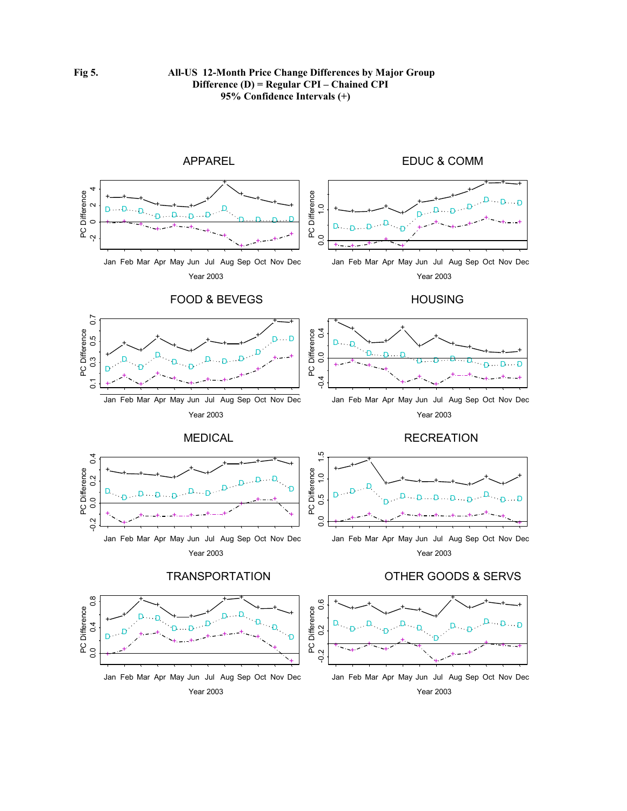

## TRANSPORTATION



# OTHER GOODS & SERVS



Year 2003 Jan Feb Mar Apr May Jun Jul Aug Sep Oct Nov Dec

# **Fig 5. All-US 12-Month Price Change Differences by Major Group Difference (D) = Regular CPI – Chained CPI 95% Confidence Intervals (+)**